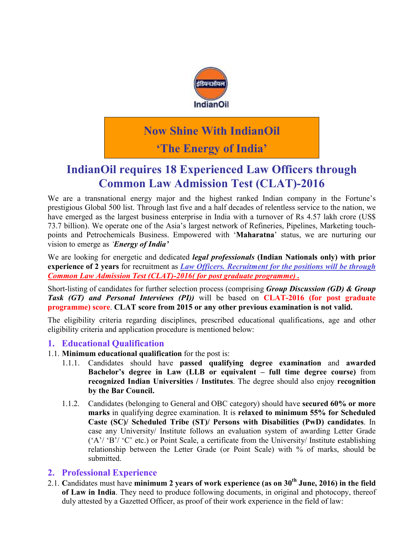

# Now Shine With IndianOil

## 'The Energy of India'

### IndianOil requires 18 Experienced Law Officers through Common Law Admission Test (CLAT)-2016

We are a transnational energy major and the highest ranked Indian company in the Fortune's prestigious Global 500 list. Through last five and a half decades of relentless service to the nation, we have emerged as the largest business enterprise in India with a turnover of Rs 4.57 lakh crore (US\$ 73.7 billion). We operate one of the Asia's largest network of Refineries, Pipelines, Marketing touchpoints and Petrochemicals Business. Empowered with 'Maharatna' status, we are nurturing our vision to emerge as *'Energy of India'*

We are looking for energetic and dedicated *legal professionals* (Indian Nationals only) with prior experience of 2 years for recruitment as *Law Officers. Recruitment for the positions will be through Common Law Admission Test (CLAT)-2016( for post graduate programme) .*

Short-listing of candidates for further selection process (comprising *Group Discussion (GD) & Group Task (GT) and Personal Interviews (PI))* will be based on CLAT-2016 (for post graduate programme) score. CLAT score from 2015 or any other previous examination is not valid.

The eligibility criteria regarding disciplines, prescribed educational qualifications, age and other eligibility criteria and application procedure is mentioned below:

#### 1. Educational Qualification

- 1.1. Minimum educational qualification for the post is:
	- 1.1.1. Candidates should have passed qualifying degree examination and awarded Bachelor's degree in Law (LLB or equivalent – full time degree course) from recognized Indian Universities / Institutes. The degree should also enjoy recognition by the Bar Council.
	- 1.1.2. Candidates (belonging to General and OBC category) should have secured 60% or more marks in qualifying degree examination. It is relaxed to minimum 55% for Scheduled Caste (SC)/ Scheduled Tribe (ST)/ Persons with Disabilities (PwD) candidates. In case any University/ Institute follows an evaluation system of awarding Letter Grade ('A'/ 'B'/ 'C' etc.) or Point Scale, a certificate from the University/ Institute establishing relationship between the Letter Grade (or Point Scale) with % of marks, should be submitted.

#### 2. Professional Experience

2.1. Candidates must have minimum 2 years of work experience (as on  $30<sup>th</sup>$  June, 2016) in the field of Law in India. They need to produce following documents, in original and photocopy, thereof duly attested by a Gazetted Officer, as proof of their work experience in the field of law: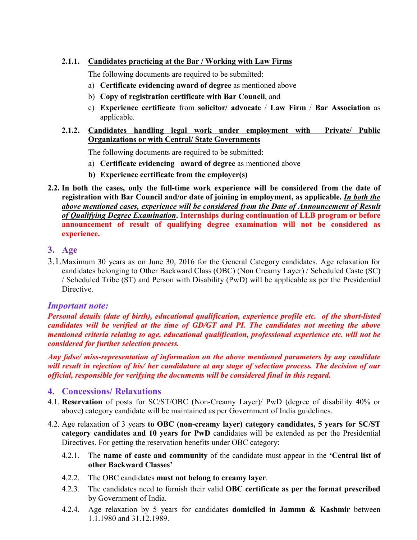#### 2.1.1. Candidates practicing at the Bar / Working with Law Firms

The following documents are required to be submitted:

- a) Certificate evidencing award of degree as mentioned above
- b) Copy of registration certificate with Bar Council, and
- c) Experience certificate from solicitor/ advocate / Law Firm / Bar Association as applicable.
- 2.1.2. Candidates handling legal work under employment with Private/ Public Organizations or with Central/ State Governments

The following documents are required to be submitted:

- a) Certificate evidencing award of degree as mentioned above
- b) Experience certificate from the employer(s)
- 2.2. In both the cases, only the full-time work experience will be considered from the date of registration with Bar Council and/or date of joining in employment, as applicable. *In both the above mentioned cases, experience will be considered from the Date of Announcement of Result of Qualifying Degree Examination*. Internships during continuation of LLB program or before announcement of result of qualifying degree examination will not be considered as experience.

#### 3. Age

3.1.Maximum 30 years as on June 30, 2016 for the General Category candidates. Age relaxation for candidates belonging to Other Backward Class (OBC) (Non Creamy Layer) / Scheduled Caste (SC) / Scheduled Tribe (ST) and Person with Disability (PwD) will be applicable as per the Presidential Directive.

#### *Important note:*

*Personal details (date of birth), educational qualification, experience profile etc. of the short-listed candidates will be verified at the time of GD/GT and PI. The candidates not meeting the above mentioned criteria relating to age, educational qualification, professional experience etc. will not be considered for further selection process.* 

*Any false/ miss-representation of information on the above mentioned parameters by any candidate will result in rejection of his/ her candidature at any stage of selection process. The decision of our official, responsible for verifying the documents will be considered final in this regard.* 

#### 4. Concessions/ Relaxations

- 4.1. Reservation of posts for SC/ST/OBC (Non-Creamy Layer)/ PwD (degree of disability 40% or above) category candidate will be maintained as per Government of India guidelines.
- 4.2. Age relaxation of 3 years to OBC (non-creamy layer) category candidates, 5 years for SC/ST category candidates and 10 years for PwD candidates will be extended as per the Presidential Directives. For getting the reservation benefits under OBC category:
	- 4.2.1. The name of caste and community of the candidate must appear in the 'Central list of other Backward Classes'
	- 4.2.2. The OBC candidates must not belong to creamy layer.
	- 4.2.3. The candidates need to furnish their valid **OBC** certificate as per the format prescribed by Government of India.
	- 4.2.4. Age relaxation by 5 years for candidates domiciled in Jammu & Kashmir between 1.1.1980 and 31.12.1989.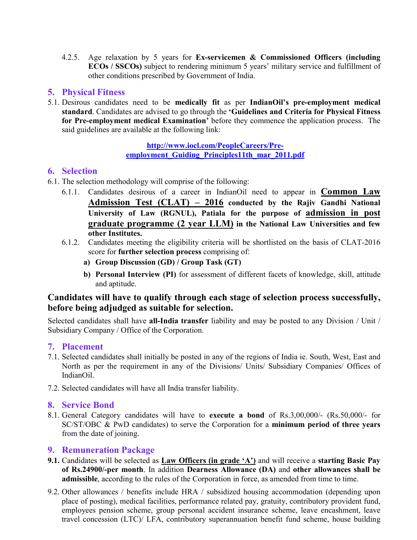4.2.5. Age relaxation by 5 years for Ex-servicemen & Commissioned Officers (including ECOs / SSCOs) subject to rendering minimum 5 years' military service and fulfillment of other conditions prescribed by Government of India.

#### 5. Physical Fitness

5.1. Desirous candidates need to be medically fit as per IndianOil's pre-employment medical standard. Candidates are advised to go through the 'Guidelines and Criteria for Physical Fitness for Pre-employment medical Examination' before they commence the application process. The said guidelines are available at [the following link:](http://www.iocl.com/PeopleCareers/Pre-employment_Guiding_Principles11th_mar_2011.pdf) 

#### [http://www.iocl.com/PeopleCareers/Pre](http://www.iocl.com/PeopleCareers/Pre-employment_Guiding_Principles11th_mar_2011.pdf)employment\_Guiding\_Principles11th\_mar\_2011.pdf

#### 6. Selection

- 6.1. The selection methodology will comprise of the following:
	- 6.1.1. Candidates desirous of a career in IndianOil need to appear in Common Law Admission Test (CLAT) – 2016 conducted by the Rajiv Gandhi National University of Law (RGNUL), Patiala for the purpose of admission in post graduate programme (2 year LLM) in the National Law Universities and few other Institutes.
	- 6.1.2. Candidates meeting the eligibility criteria will be shortlisted on the basis of CLAT-2016 score for **further selection process** comprising of:
		- a) Group Discussion (GD) / Group Task (GT)
		- b) Personal Interview (PI) for assessment of different facets of knowledge, skill, attitude and aptitude.

#### Candidates will have to qualify through each stage of selection process successfully, before being adjudged as suitable for selection.

Selected candidates shall have all-India transfer liability and may be posted to any Division / Unit / Subsidiary Company / Office of the Corporation.

#### 7. Placement

- 7.1. Selected candidates shall initially be posted in any of the regions of India ie. South, West, East and North as per the requirement in any of the Divisions/ Units/ Subsidiary Companies/ Offices of IndianOil.
- 7.2. Selected candidates will have all India transfer liability.

#### 8. Service Bond

8.1. General Category candidates will have to execute a bond of Rs.3,00,000/- (Rs.50,000/- for SC/ST/OBC & PwD candidates) to serve the Corporation for a minimum period of three years from the date of joining.

#### 9. Remuneration Package

- 9.1. Candidates will be selected as Law Officers (in grade 'A') and will receive a starting Basic Pay of Rs.24900/-per month. In addition Dearness Allowance (DA) and other allowances shall be admissible, according to the rules of the Corporation in force, as amended from time to time.
- 9.2. Other allowances / benefits include HRA / subsidized housing accommodation (depending upon place of posting), medical facilities, performance related pay, gratuity, contributory provident fund, employees pension scheme, group personal accident insurance scheme, leave encashment, leave travel concession (LTC)/ LFA, contributory superannuation benefit fund scheme, house building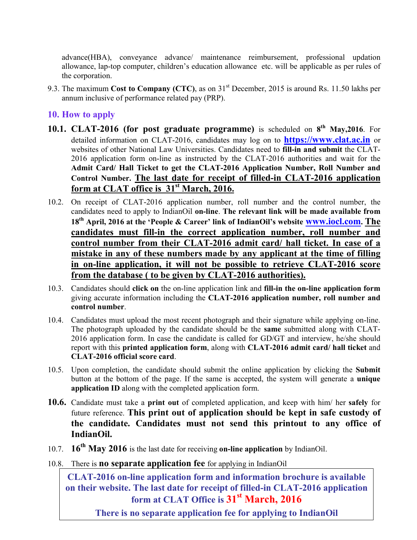advance(HBA), conveyance advance/ maintenance reimbursement, professional updation allowance, lap-top computer, children's education allowance etc. will be applicable as per rules of the corporation.

9.3. The maximum Cost to Company (CTC), as on 31<sup>st</sup> December, 2015 is around Rs. 11.50 lakhs per annum inclusive of performance related pay (PRP).

#### 10. How to apply

- 10.1. CLAT-2016 (for post graduate programme) is scheduled on  $8<sup>th</sup>$  May, 2016. For detailed information on CLAT-2016, candidates may log on to **https://www.clat.ac.in** or websites of other National Law Universities. Candidates need to fill-in and submit the CLAT-2016 application form on-line as instructed by the CLAT-2016 authorities and wait for the Admit Card/ Hall Ticket to get the CLAT-2016 Application Number, Roll Number and Control Number. The last date for receipt of filled-in CLAT-2016 application form at CLAT office is  $31<sup>st</sup>$  March, 2016.
- 10.2. On receipt of CLAT-2016 application number, roll number and the [control number,](http://www.iocl.com/) the candidates need to apply to IndianOil on-line. The relevant link will be made available from 18<sup>th</sup> April, 2016 at the 'People & Career' link of IndianOil's website **www.iocl.com.** The candidates must fill-in the correct application number, roll number and control number from their CLAT-2016 admit card/ hall ticket. In case of a mistake in any of these numbers made by any applicant at the time of filling in on-line application, it will not be possible to retrieve CLAT-2016 score from the database ( to be given by CLAT-2016 authorities).
- 10.3. Candidates should click on the on-line application link and fill-in the on-line application form giving accurate information including the CLAT-2016 application number, roll number and control number.
- 10.4. Candidates must upload the most recent photograph and their signature while applying on-line. The photograph uploaded by the candidate should be the same submitted along with CLAT-2016 application form. In case the candidate is called for GD/GT and interview, he/she should report with this printed application form, along with CLAT-2016 admit card/ hall ticket and CLAT-2016 official score card.
- 10.5. Upon completion, the candidate should submit the online application by clicking the Submit button at the bottom of the page. If the same is accepted, the system will generate a **unique** application ID along with the completed application form.
- 10.6. Candidate must take a print out of completed application, and keep with him/ her safely for future reference. This print out of application should be kept in safe custody of the candidate. Candidates must not send this printout to any office of IndianOil.
- 10.7.  $16^{th}$  May 2016 is the last date for receiving on-line application by IndianOil.
- 10.8. There is **no separate application fee** for applying in IndianOil

CLAT-2016 on-line application form and information brochure is available on their website. The last date for receipt of filled-in CLAT-2016 application form at CLAT Office is  $31<sup>st</sup>$  March, 2016

There is no separate application fee for applying to IndianOil